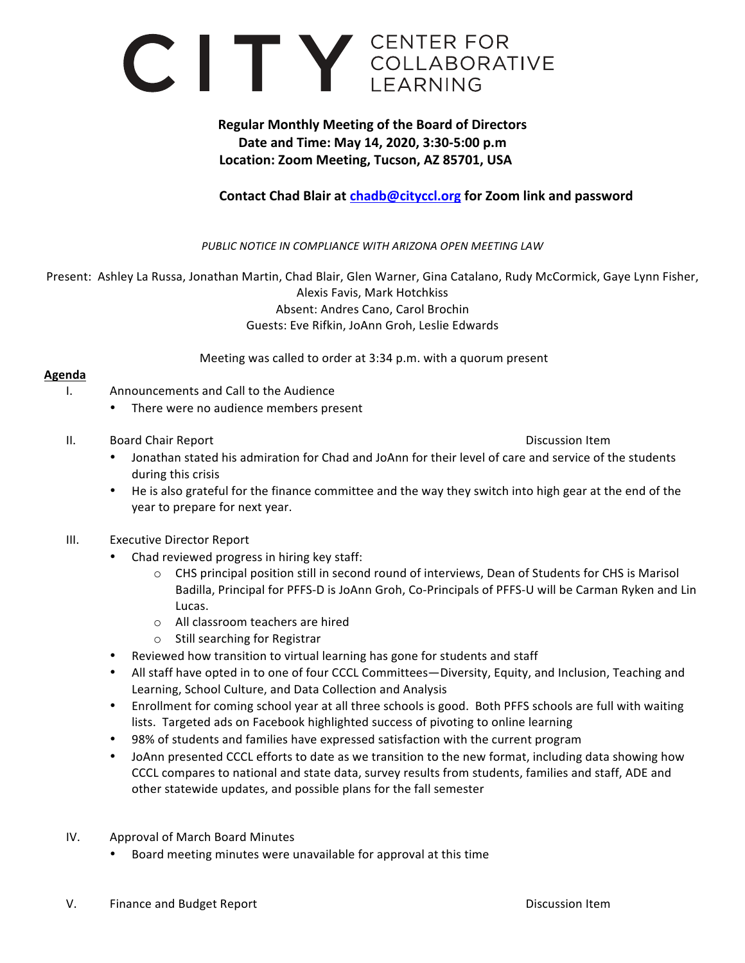

## **Regular Monthly Meeting of the Board of Directors Date and Time: May 14, 2020, 3:30-5:00 p.m** Location: Zoom Meeting, Tucson, AZ 85701, USA

## **Contact Chad Blair at chadb@cityccl.org** for Zoom link and password

PUBLIC NOTICE IN COMPLIANCE WITH ARIZONA OPEN MEETING LAW

Present: Ashley La Russa, Jonathan Martin, Chad Blair, Glen Warner, Gina Catalano, Rudy McCormick, Gaye Lynn Fisher, Alexis Favis, Mark Hotchkiss Absent: Andres Cano, Carol Brochin Guests: Eve Rifkin, JoAnn Groh, Leslie Edwards

Meeting was called to order at 3:34 p.m. with a quorum present

## **Agenda**

- I. Announcements and Call to the Audience
	- There were no audience members present
- II. Board Chair Report **Discussion** Item

- Jonathan stated his admiration for Chad and JoAnn for their level of care and service of the students during this crisis
- He is also grateful for the finance committee and the way they switch into high gear at the end of the year to prepare for next year.
- III. Executive Director Report
	- Chad reviewed progress in hiring key staff:
		- $\circ$  CHS principal position still in second round of interviews, Dean of Students for CHS is Marisol Badilla, Principal for PFFS-D is JoAnn Groh, Co-Principals of PFFS-U will be Carman Ryken and Lin Lucas.
		- o All classroom teachers are hired
		- $\circ$  Still searching for Registrar
	- Reviewed how transition to virtual learning has gone for students and staff
	- All staff have opted in to one of four CCCL Committees—Diversity, Equity, and Inclusion, Teaching and Learning, School Culture, and Data Collection and Analysis
	- Enrollment for coming school year at all three schools is good. Both PFFS schools are full with waiting lists. Targeted ads on Facebook highlighted success of pivoting to online learning
	- 98% of students and families have expressed satisfaction with the current program
	- JoAnn presented CCCL efforts to date as we transition to the new format, including data showing how CCCL compares to national and state data, survey results from students, families and staff, ADE and other statewide updates, and possible plans for the fall semester
- IV. Approval of March Board Minutes
	- Board meeting minutes were unavailable for approval at this time